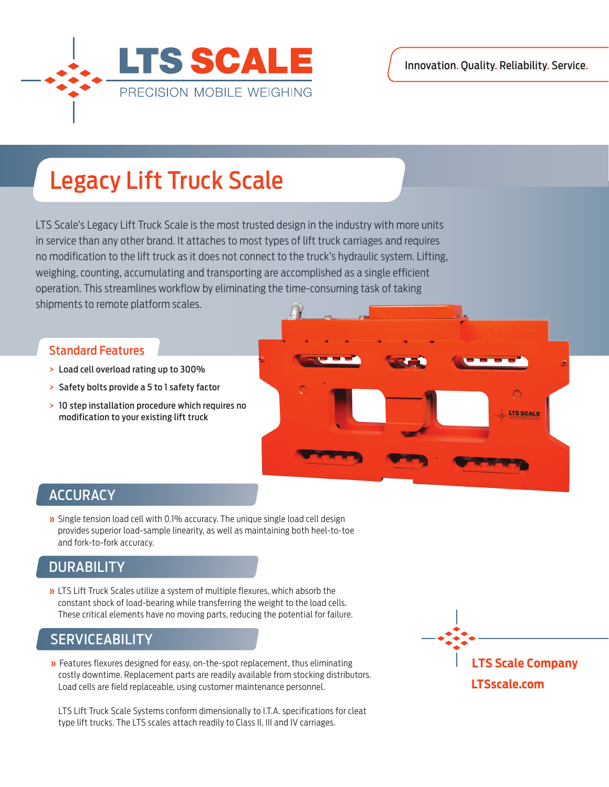

# Legacy Lift Truck Scale

LTS Scale's Legacy Lift Truck Scale is the most trusted design in the industry with more units in service than any other brand. It attaches to most types of lift truck carriages and requires no modification to the lift truck as it does not connect to the truck's hydraulic system. Lifting, weighing, counting, accumulating and transporting are accomplished as a single efficient operation. This streamlines workflow by eliminating the time-consuming task of taking shipments to remote platform scales.

#### Standard Features

- > Load cell overload rating up to 300%
- > Safety bolts provide a 5 to 1 safety factor
- > 10 step installation procedure which requires no modification to your existing lift truck



#### **ACCURACY**

**»** Single tension load cell with 0.1% accuracy. The unique single load cell design provides superior load-sample linearity, as well as maintaining both heel-to-toe and fork-to-fork accuracy.

### **DURABILITY**

**»** LTS Lift Truck Scales utilize a system of multiple flexures, which absorb the constant shock of load-bearing while transferring the weight to the load cells. These critical elements have no moving parts, reducing the potential for failure.

#### SERVICEABILITY

**»** Features flexures designed for easy, on-the-spot replacement, thus eliminating costly downtime. Replacement parts are readily available from stocking distributors. Load cells are field replaceable, using customer maintenance personnel.

LTS Lift Truck Scale Systems conform dimensionally to I.T.A. specifications for cleat type lift trucks. The LTS scales attach readily to Class II, III and IV carriages.